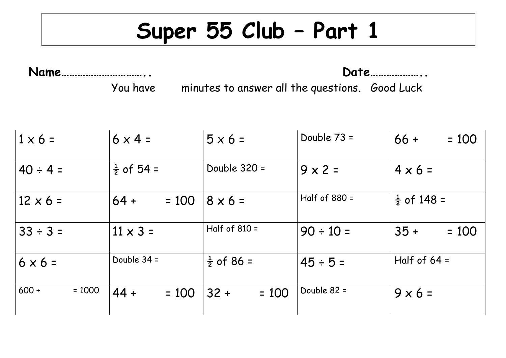## **Super 55 Club – Part 1**

**Name………………………….. Date………………..**

You have minutes to answer all the questions. Good Luck

| $1 \times 6 =$      | $6 \times 4 =$        | $5 \times 6 =$        | Double 73 =     | $= 100$<br>$66 +$      |
|---------------------|-----------------------|-----------------------|-----------------|------------------------|
| $40 \div 4 =$       | $\frac{1}{2}$ of 54 = | Double 320 =          | $9 \times 2 =$  | $4 \times 6 =$         |
| $12 \times 6 =$     | $64 +$<br>$= 100$     | $8 \times 6 =$        | Half of $880 =$ | $\frac{1}{2}$ of 148 = |
| $33 \div 3 =$       | $11 \times 3 =$       | Half of $810 =$       | $90 \div 10 =$  | $35 +$<br>$= 100$      |
| $6 \times 6 =$      | Double 34 =           | $\frac{1}{2}$ of 86 = | $45 \div 5 =$   | Half of $64 =$         |
| $600 +$<br>$= 1000$ | $44 +$<br>$= 100$     | $32 +$<br>$= 100$     | Double 82 =     | $9 \times 6 =$         |